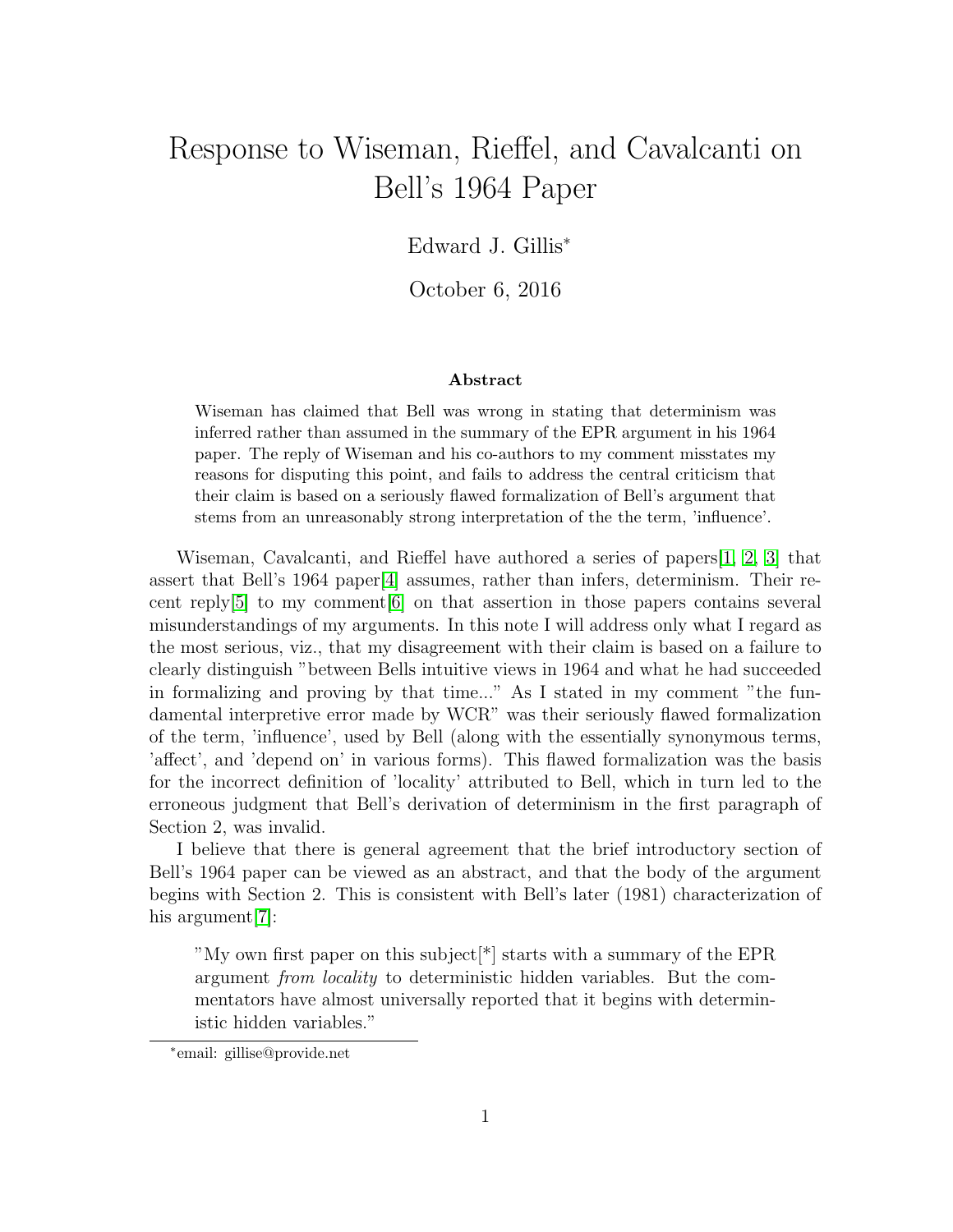## Response to Wiseman, Rieffel, and Cavalcanti on Bell's 1964 Paper

Edward J. Gillis<sup>∗</sup>

October 6, 2016

## Abstract

Wiseman has claimed that Bell was wrong in stating that determinism was inferred rather than assumed in the summary of the EPR argument in his 1964 paper. The reply of Wiseman and his co-authors to my comment misstates my reasons for disputing this point, and fails to address the central criticism that their claim is based on a seriously flawed formalization of Bell's argument that stems from an unreasonably strong interpretation of the the term, 'influence'.

Wiseman, Cavalcanti, and Rieffel have authored a series of papers[\[1,](#page-5-0) [2,](#page-5-1) [3\]](#page-5-2) that assert that Bell's 1964 paper[\[4\]](#page-5-3) assumes, rather than infers, determinism. Their recent reply[\[5\]](#page-5-4) to my comment[\[6\]](#page-5-5) on that assertion in those papers contains several misunderstandings of my arguments. In this note I will address only what I regard as the most serious, viz., that my disagreement with their claim is based on a failure to clearly distinguish "between Bells intuitive views in 1964 and what he had succeeded in formalizing and proving by that time..." As I stated in my comment "the fundamental interpretive error made by WCR" was their seriously flawed formalization of the term, 'influence', used by Bell (along with the essentially synonymous terms, 'affect', and 'depend on' in various forms). This flawed formalization was the basis for the incorrect definition of 'locality' attributed to Bell, which in turn led to the erroneous judgment that Bell's derivation of determinism in the first paragraph of Section 2, was invalid.

I believe that there is general agreement that the brief introductory section of Bell's 1964 paper can be viewed as an abstract, and that the body of the argument begins with Section 2. This is consistent with Bell's later (1981) characterization of his argument<sup>[\[7\]](#page-5-6)</sup>:

"My own first paper on this subject[\*] starts with a summary of the EPR argument from locality to deterministic hidden variables. But the commentators have almost universally reported that it begins with deterministic hidden variables."

<sup>∗</sup> email: gillise@provide.net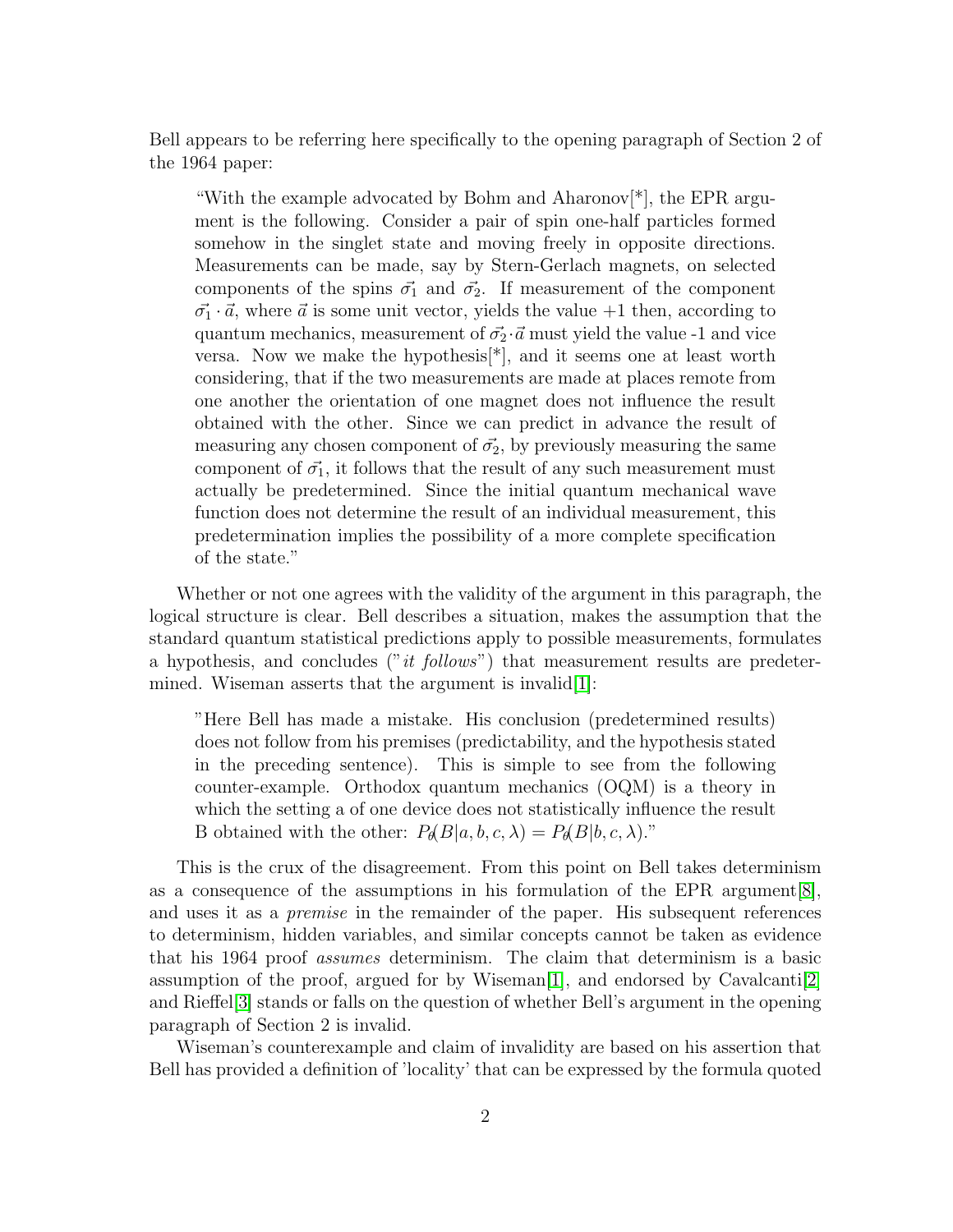Bell appears to be referring here specifically to the opening paragraph of Section 2 of the 1964 paper:

"With the example advocated by Bohm and Aharonov[\*], the EPR argument is the following. Consider a pair of spin one-half particles formed somehow in the singlet state and moving freely in opposite directions. Measurements can be made, say by Stern-Gerlach magnets, on selected components of the spins  $\vec{\sigma_1}$  and  $\vec{\sigma_2}$ . If measurement of the component  $\vec{\sigma_1} \cdot \vec{a}$ , where  $\vec{a}$  is some unit vector, yields the value +1 then, according to quantum mechanics, measurement of  $\vec{\sigma_2} \cdot \vec{a}$  must yield the value -1 and vice versa. Now we make the hypothesis<sup>[\*</sup>], and it seems one at least worth considering, that if the two measurements are made at places remote from one another the orientation of one magnet does not influence the result obtained with the other. Since we can predict in advance the result of measuring any chosen component of  $\vec{\sigma_2}$ , by previously measuring the same component of  $\vec{\sigma_1}$ , it follows that the result of any such measurement must actually be predetermined. Since the initial quantum mechanical wave function does not determine the result of an individual measurement, this predetermination implies the possibility of a more complete specification of the state."

Whether or not one agrees with the validity of the argument in this paragraph, the logical structure is clear. Bell describes a situation, makes the assumption that the standard quantum statistical predictions apply to possible measurements, formulates a hypothesis, and concludes ("it follows") that measurement results are predeter-mined. Wiseman asserts that the argument is invalid[\[1\]](#page-5-0):

"Here Bell has made a mistake. His conclusion (predetermined results) does not follow from his premises (predictability, and the hypothesis stated in the preceding sentence). This is simple to see from the following counter-example. Orthodox quantum mechanics (OQM) is a theory in which the setting a of one device does not statistically influence the result B obtained with the other:  $P_{\theta}(B|a, b, c, \lambda) = P_{\theta}(B|b, c, \lambda)$ ."

This is the crux of the disagreement. From this point on Bell takes determinism as a consequence of the assumptions in his formulation of the EPR argument  $[8]$ , and uses it as a *premise* in the remainder of the paper. His subsequent references to determinism, hidden variables, and similar concepts cannot be taken as evidence that his 1964 proof assumes determinism. The claim that determinism is a basic assumption of the proof, argued for by Wiseman<sup>[\[1\]](#page-5-0)</sup>, and endorsed by Cavalcanti<sup>[\[2\]](#page-5-1)</sup> and Rieffel[\[3\]](#page-5-2) stands or falls on the question of whether Bell's argument in the opening paragraph of Section 2 is invalid.

Wiseman's counterexample and claim of invalidity are based on his assertion that Bell has provided a definition of 'locality' that can be expressed by the formula quoted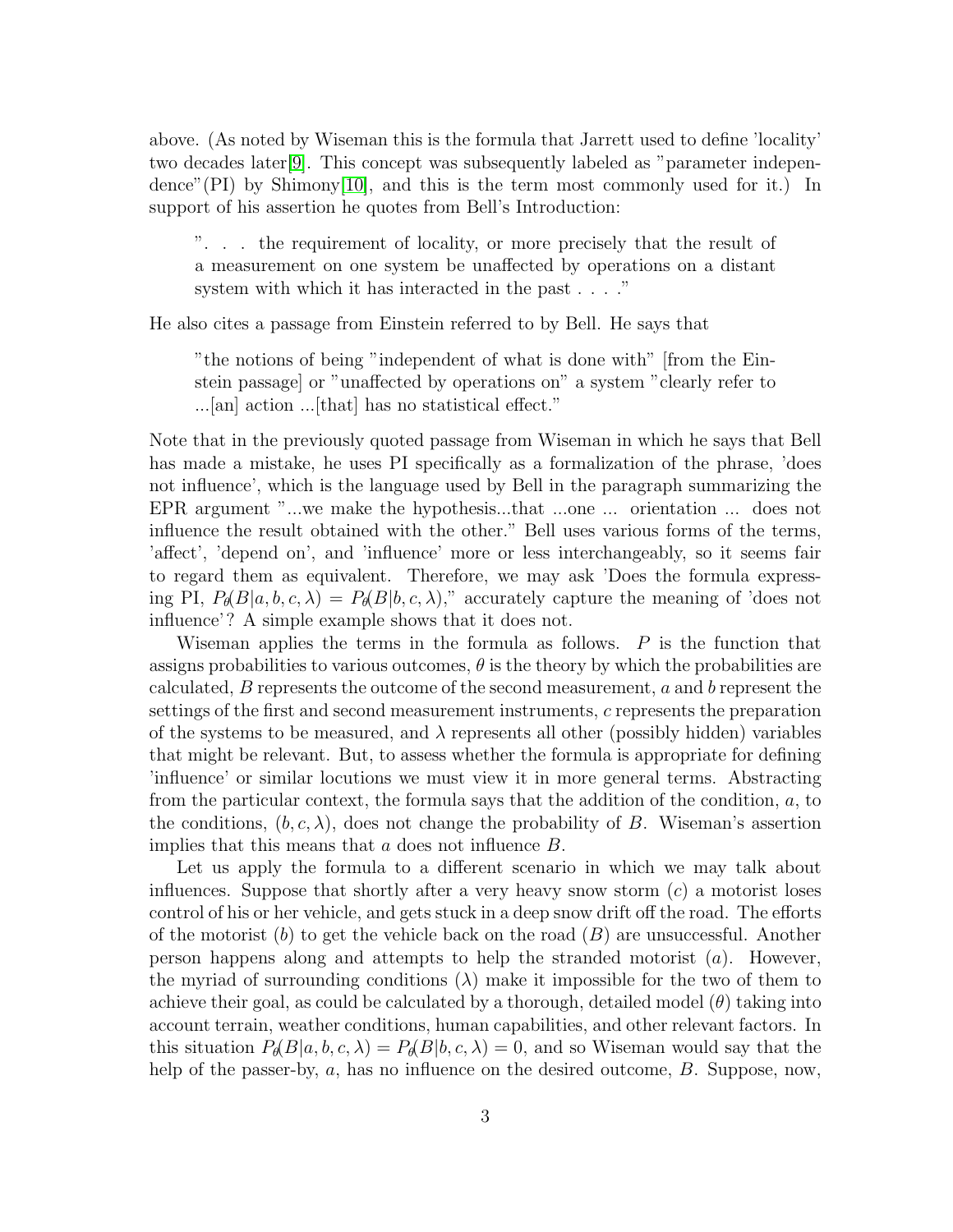above. (As noted by Wiseman this is the formula that Jarrett used to define 'locality' two decades later[\[9\]](#page-5-8). This concept was subsequently labeled as "parameter independence"(PI) by Shimony[\[10\]](#page-5-9), and this is the term most commonly used for it.) In support of his assertion he quotes from Bell's Introduction:

". . . the requirement of locality, or more precisely that the result of a measurement on one system be unaffected by operations on a distant system with which it has interacted in the past . . . ."

He also cites a passage from Einstein referred to by Bell. He says that

"the notions of being "independent of what is done with" [from the Einstein passage] or "unaffected by operations on" a system "clearly refer to ...[an] action ...[that] has no statistical effect."

Note that in the previously quoted passage from Wiseman in which he says that Bell has made a mistake, he uses PI specifically as a formalization of the phrase, 'does not influence', which is the language used by Bell in the paragraph summarizing the EPR argument "...we make the hypothesis...that ...one ... orientation ... does not influence the result obtained with the other." Bell uses various forms of the terms, 'affect', 'depend on', and 'influence' more or less interchangeably, so it seems fair to regard them as equivalent. Therefore, we may ask 'Does the formula expressing PI,  $P_{\theta}(B|a, b, c, \lambda) = P_{\theta}(B|b, c, \lambda)$ ," accurately capture the meaning of 'does not influence'? A simple example shows that it does not.

Wiseman applies the terms in the formula as follows.  $P$  is the function that assigns probabilities to various outcomes,  $\theta$  is the theory by which the probabilities are calculated,  $B$  represents the outcome of the second measurement,  $a$  and  $b$  represent the settings of the first and second measurement instruments, c represents the preparation of the systems to be measured, and  $\lambda$  represents all other (possibly hidden) variables that might be relevant. But, to assess whether the formula is appropriate for defining 'influence' or similar locutions we must view it in more general terms. Abstracting from the particular context, the formula says that the addition of the condition, a, to the conditions,  $(b, c, \lambda)$ , does not change the probability of B. Wiseman's assertion implies that this means that  $a$  does not influence  $B$ .

Let us apply the formula to a different scenario in which we may talk about influences. Suppose that shortly after a very heavy snow storm  $(c)$  a motorist loses control of his or her vehicle, and gets stuck in a deep snow drift off the road. The efforts of the motorist (b) to get the vehicle back on the road  $(B)$  are unsuccessful. Another person happens along and attempts to help the stranded motorist  $(a)$ . However, the myriad of surrounding conditions  $(\lambda)$  make it impossible for the two of them to achieve their goal, as could be calculated by a thorough, detailed model  $(\theta)$  taking into account terrain, weather conditions, human capabilities, and other relevant factors. In this situation  $P_{\theta}(B|a, b, c, \lambda) = P_{\theta}(B|b, c, \lambda) = 0$ , and so Wiseman would say that the help of the passer-by, a, has no influence on the desired outcome, B. Suppose, now,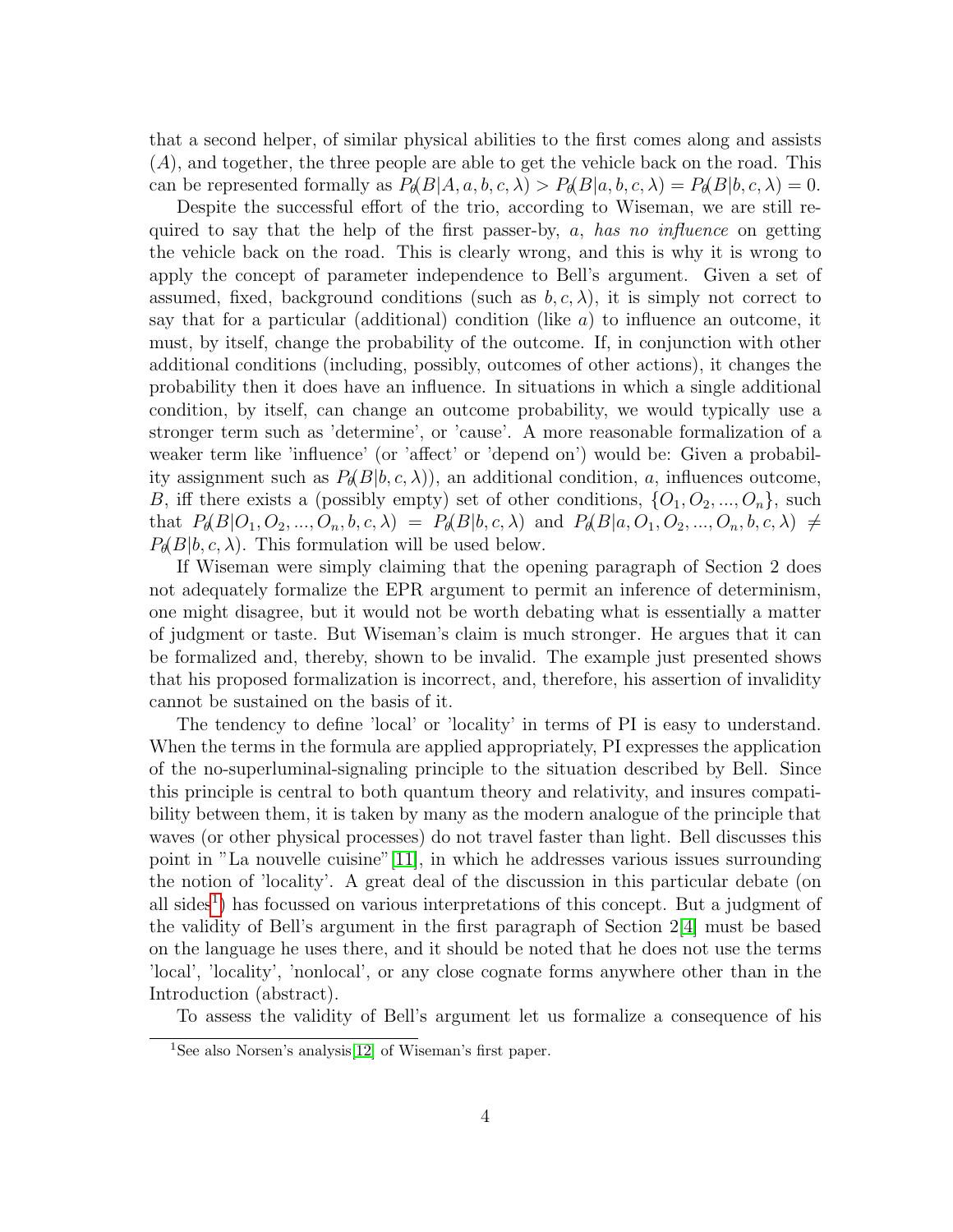that a second helper, of similar physical abilities to the first comes along and assists  $(A)$ , and together, the three people are able to get the vehicle back on the road. This can be represented formally as  $P_{\theta}(B|A, a, b, c, \lambda) > P_{\theta}(B|a, b, c, \lambda) = P_{\theta}(B|b, c, \lambda) = 0.$ 

Despite the successful effort of the trio, according to Wiseman, we are still required to say that the help of the first passer-by, a, has no influence on getting the vehicle back on the road. This is clearly wrong, and this is why it is wrong to apply the concept of parameter independence to Bell's argument. Given a set of assumed, fixed, background conditions (such as  $b, c, \lambda$ ), it is simply not correct to say that for a particular (additional) condition (like  $a$ ) to influence an outcome, it must, by itself, change the probability of the outcome. If, in conjunction with other additional conditions (including, possibly, outcomes of other actions), it changes the probability then it does have an influence. In situations in which a single additional condition, by itself, can change an outcome probability, we would typically use a stronger term such as 'determine', or 'cause'. A more reasonable formalization of a weaker term like 'influence' (or 'affect' or 'depend on') would be: Given a probability assignment such as  $P_{\theta}(B|b, c, \lambda)$ , an additional condition, a, influences outcome, B, iff there exists a (possibly empty) set of other conditions,  $\{O_1, O_2, ..., O_n\}$ , such that  $P_{\theta}(B|O_1, O_2, ..., O_n, b, c, \lambda) = P_{\theta}(B|b, c, \lambda)$  and  $P_{\theta}(B|a, O_1, O_2, ..., O_n, b, c, \lambda) \neq$  $P_{\theta}(B|b, c, \lambda)$ . This formulation will be used below.

If Wiseman were simply claiming that the opening paragraph of Section 2 does not adequately formalize the EPR argument to permit an inference of determinism, one might disagree, but it would not be worth debating what is essentially a matter of judgment or taste. But Wiseman's claim is much stronger. He argues that it can be formalized and, thereby, shown to be invalid. The example just presented shows that his proposed formalization is incorrect, and, therefore, his assertion of invalidity cannot be sustained on the basis of it.

The tendency to define 'local' or 'locality' in terms of PI is easy to understand. When the terms in the formula are applied appropriately, PI expresses the application of the no-superluminal-signaling principle to the situation described by Bell. Since this principle is central to both quantum theory and relativity, and insures compatibility between them, it is taken by many as the modern analogue of the principle that waves (or other physical processes) do not travel faster than light. Bell discusses this point in "La nouvelle cuisine"[\[11\]](#page-5-10), in which he addresses various issues surrounding the notion of 'locality'. A great deal of the discussion in this particular debate (on all sides<sup>[1](#page-3-0)</sup>) has focussed on various interpretations of this concept. But a judgment of the validity of Bell's argument in the first paragraph of Section 2[\[4\]](#page-5-3) must be based on the language he uses there, and it should be noted that he does not use the terms 'local', 'locality', 'nonlocal', or any close cognate forms anywhere other than in the Introduction (abstract).

To assess the validity of Bell's argument let us formalize a consequence of his

<span id="page-3-0"></span><sup>&</sup>lt;sup>1</sup>See also Norsen's analysis<sup>[\[12\]](#page-5-11)</sup> of Wiseman's first paper.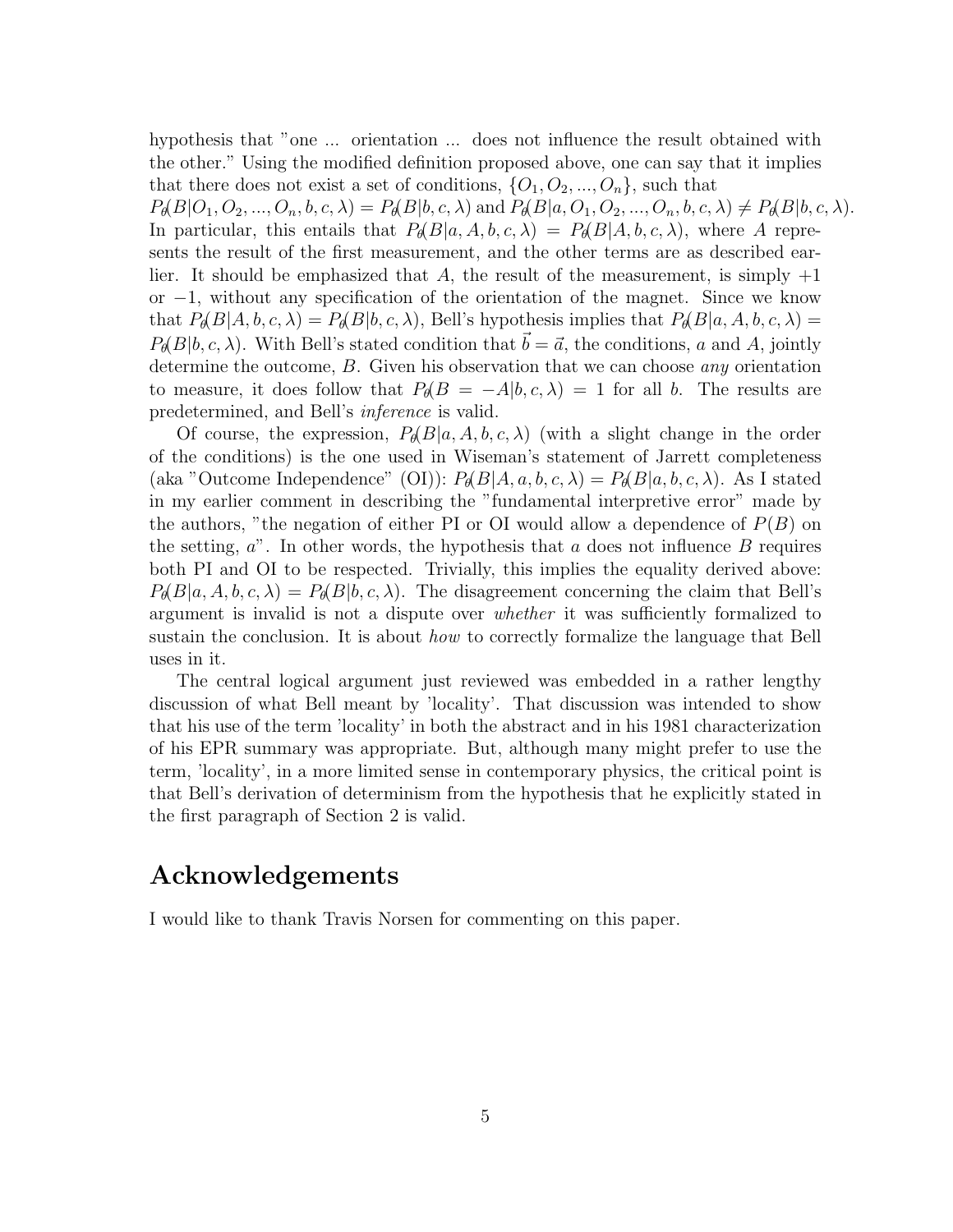hypothesis that "one ... orientation ... does not influence the result obtained with the other." Using the modified definition proposed above, one can say that it implies that there does not exist a set of conditions,  $\{O_1, O_2, ..., O_n\}$ , such that

 $P_{\theta}(B|O_1, O_2, ..., O_n, b, c, \lambda) = P_{\theta}(B|b, c, \lambda)$  and  $P_{\theta}(B|a, O_1, O_2, ..., O_n, b, c, \lambda) \neq P_{\theta}(B|b, c, \lambda)$ . In particular, this entails that  $P_{\theta}(B|a, A, b, c, \lambda) = P_{\theta}(B|A, b, c, \lambda)$ , where A represents the result of the first measurement, and the other terms are as described earlier. It should be emphasized that A, the result of the measurement, is simply  $+1$ or −1, without any specification of the orientation of the magnet. Since we know that  $P_{\theta}(B|A, b, c, \lambda) = P_{\theta}(B|b, c, \lambda)$ , Bell's hypothesis implies that  $P_{\theta}(B|a, A, b, c, \lambda) =$  $P_{\theta}(B|b, c, \lambda)$ . With Bell's stated condition that  $\vec{b} = \vec{a}$ , the conditions, a and A, jointly determine the outcome, B. Given his observation that we can choose *any* orientation to measure, it does follow that  $P_{\theta}(B = -A|b, c, \lambda) = 1$  for all b. The results are predetermined, and Bell's inference is valid.

Of course, the expression,  $P_{\theta}(B|a, A, b, c, \lambda)$  (with a slight change in the order of the conditions) is the one used in Wiseman's statement of Jarrett completeness (aka "Outcome Independence" (OI)):  $P_{\theta}(B|A, a, b, c, \lambda) = P_{\theta}(B|a, b, c, \lambda)$ . As I stated in my earlier comment in describing the "fundamental interpretive error" made by the authors, "the negation of either PI or OI would allow a dependence of  $P(B)$  on the setting,  $a$ <sup>"</sup>. In other words, the hypothesis that a does not influence  $B$  requires both PI and OI to be respected. Trivially, this implies the equality derived above:  $P_{\theta}(B|a, A, b, c, \lambda) = P_{\theta}(B|b, c, \lambda)$ . The disagreement concerning the claim that Bell's argument is invalid is not a dispute over whether it was sufficiently formalized to sustain the conclusion. It is about how to correctly formalize the language that Bell uses in it.

The central logical argument just reviewed was embedded in a rather lengthy discussion of what Bell meant by 'locality'. That discussion was intended to show that his use of the term 'locality' in both the abstract and in his 1981 characterization of his EPR summary was appropriate. But, although many might prefer to use the term, 'locality', in a more limited sense in contemporary physics, the critical point is that Bell's derivation of determinism from the hypothesis that he explicitly stated in the first paragraph of Section 2 is valid.

## Acknowledgements

I would like to thank Travis Norsen for commenting on this paper.